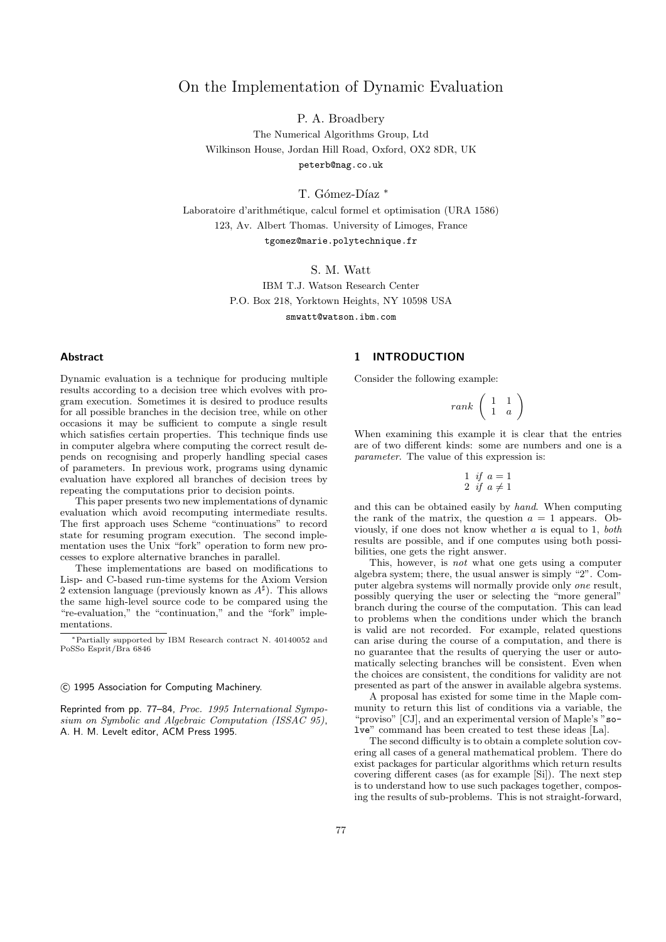# On the Implementation of Dynamic Evaluation

P. A. Broadbery

The Numerical Algorithms Group, Ltd Wilkinson House, Jordan Hill Road, Oxford, OX2 8DR, UK peterb@nag.co.uk

T. Gómez-Díaz \*

Laboratoire d'arithmétique, calcul formel et optimisation (URA 1586) 123, Av. Albert Thomas. University of Limoges, France tgomez@marie.polytechnique.fr

S. M. Watt

IBM T.J. Watson Research Center P.O. Box 218, Yorktown Heights, NY 10598 USA smwatt@watson.ibm.com

### Abstract

Dynamic evaluation is a technique for producing multiple results according to a decision tree which evolves with program execution. Sometimes it is desired to produce results for all possible branches in the decision tree, while on other occasions it may be sufficient to compute a single result which satisfies certain properties. This technique finds use in computer algebra where computing the correct result depends on recognising and properly handling special cases of parameters. In previous work, programs using dynamic evaluation have explored all branches of decision trees by repeating the computations prior to decision points.

This paper presents two new implementations of dynamic evaluation which avoid recomputing intermediate results. The first approach uses Scheme "continuations" to record state for resuming program execution. The second implementation uses the Unix "fork" operation to form new processes to explore alternative branches in parallel.

These implementations are based on modifications to Lisp- and C-based run-time systems for the Axiom Version 2 extension language (previously known as  $A^{\sharp}$ ). This allows the same high-level source code to be compared using the "re-evaluation," the "continuation," and the "fork" implementations.

(C) 1995 Association for Computing Machinery.

Reprinted from pp. 77–84, Proc. 1995 International Symposium on Symbolic and Algebraic Computation (ISSAC 95), A. H. M. Levelt editor, ACM Press 1995.

## 1 INTRODUCTION

Consider the following example:

$$
rank \left( \begin{array}{cc} 1 & 1 \\ 1 & a \end{array} \right)
$$

When examining this example it is clear that the entries are of two different kinds: some are numbers and one is a parameter. The value of this expression is:

$$
\begin{array}{cc} 1 & \text{if } a = 1 \\ 2 & \text{if } a \neq 1 \end{array}
$$

and this can be obtained easily by hand. When computing the rank of the matrix, the question  $a = 1$  appears. Obviously, if one does not know whether a is equal to 1, both results are possible, and if one computes using both possibilities, one gets the right answer.

This, however, is not what one gets using a computer algebra system; there, the usual answer is simply "2". Computer algebra systems will normally provide only one result, possibly querying the user or selecting the "more general" branch during the course of the computation. This can lead to problems when the conditions under which the branch is valid are not recorded. For example, related questions can arise during the course of a computation, and there is no guarantee that the results of querying the user or automatically selecting branches will be consistent. Even when the choices are consistent, the conditions for validity are not presented as part of the answer in available algebra systems.

A proposal has existed for some time in the Maple community to return this list of conditions via a variable, the "proviso" [CJ], and an experimental version of Maple's "solve" command has been created to test these ideas [La].

The second difficulty is to obtain a complete solution covering all cases of a general mathematical problem. There do exist packages for particular algorithms which return results covering different cases (as for example [Si]). The next step is to understand how to use such packages together, composing the results of sub-problems. This is not straight-forward,

<sup>∗</sup>Partially supported by IBM Research contract N. 40140052 and PoSSo Esprit/Bra 6846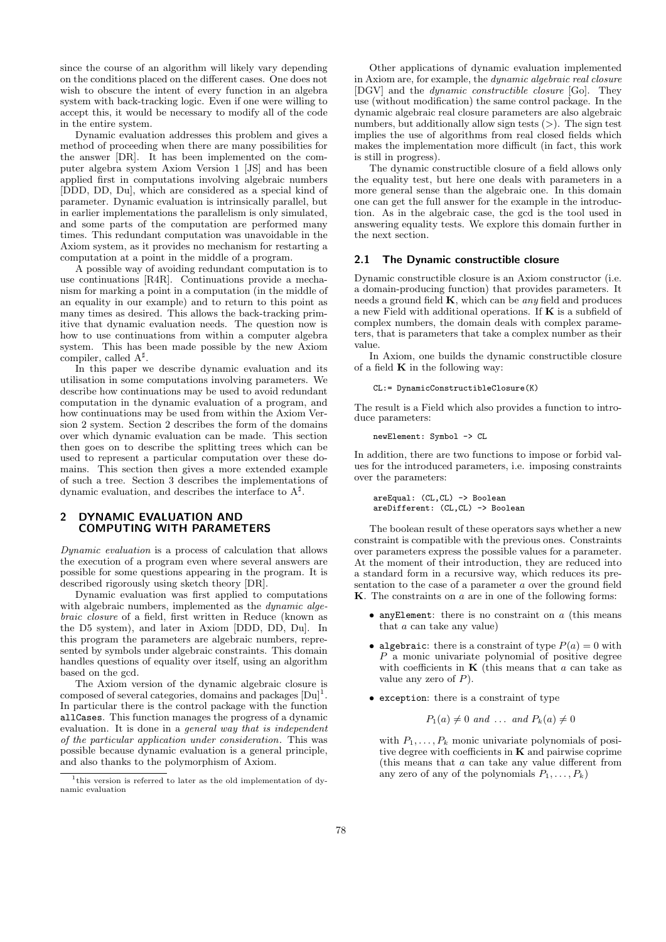since the course of an algorithm will likely vary depending on the conditions placed on the different cases. One does not wish to obscure the intent of every function in an algebra system with back-tracking logic. Even if one were willing to accept this, it would be necessary to modify all of the code in the entire system.

Dynamic evaluation addresses this problem and gives a method of proceeding when there are many possibilities for the answer [DR]. It has been implemented on the computer algebra system Axiom Version 1 [JS] and has been applied first in computations involving algebraic numbers [DDD, DD, Du], which are considered as a special kind of parameter. Dynamic evaluation is intrinsically parallel, but in earlier implementations the parallelism is only simulated, and some parts of the computation are performed many times. This redundant computation was unavoidable in the Axiom system, as it provides no mechanism for restarting a computation at a point in the middle of a program.

A possible way of avoiding redundant computation is to use continuations [R4R]. Continuations provide a mechanism for marking a point in a computation (in the middle of an equality in our example) and to return to this point as many times as desired. This allows the back-tracking primitive that dynamic evaluation needs. The question now is how to use continuations from within a computer algebra system. This has been made possible by the new Axiom compiler, called  $A^{\sharp}$ .

In this paper we describe dynamic evaluation and its utilisation in some computations involving parameters. We describe how continuations may be used to avoid redundant computation in the dynamic evaluation of a program, and how continuations may be used from within the Axiom Version 2 system. Section 2 describes the form of the domains over which dynamic evaluation can be made. This section then goes on to describe the splitting trees which can be used to represent a particular computation over these domains. This section then gives a more extended example of such a tree. Section 3 describes the implementations of dynamic evaluation, and describes the interface to  $A^{\sharp}$ .

## 2 DYNAMIC EVALUATION AND COMPUTING WITH PARAMETERS

Dynamic evaluation is a process of calculation that allows the execution of a program even where several answers are possible for some questions appearing in the program. It is described rigorously using sketch theory [DR].

Dynamic evaluation was first applied to computations with algebraic numbers, implemented as the *dynamic alge*braic closure of a field, first written in Reduce (known as the D5 system), and later in Axiom [DDD, DD, Du]. In this program the parameters are algebraic numbers, represented by symbols under algebraic constraints. This domain handles questions of equality over itself, using an algorithm based on the gcd.

The Axiom version of the dynamic algebraic closure is composed of several categories, domains and packages  $[Du]^1$ . In particular there is the control package with the function allCases. This function manages the progress of a dynamic evaluation. It is done in a general way that is independent of the particular application under consideration. This was possible because dynamic evaluation is a general principle, and also thanks to the polymorphism of Axiom.

Other applications of dynamic evaluation implemented in Axiom are, for example, the dynamic algebraic real closure [DGV] and the dynamic constructible closure [Go]. They use (without modification) the same control package. In the dynamic algebraic real closure parameters are also algebraic numbers, but additionally allow sign tests  $(>)$ . The sign test implies the use of algorithms from real closed fields which makes the implementation more difficult (in fact, this work is still in progress).

The dynamic constructible closure of a field allows only the equality test, but here one deals with parameters in a more general sense than the algebraic one. In this domain one can get the full answer for the example in the introduction. As in the algebraic case, the gcd is the tool used in answering equality tests. We explore this domain further in the next section.

### 2.1 The Dynamic constructible closure

Dynamic constructible closure is an Axiom constructor (i.e. a domain-producing function) that provides parameters. It needs a ground field  $K$ , which can be *any* field and produces a new Field with additional operations. If K is a subfield of complex numbers, the domain deals with complex parameters, that is parameters that take a complex number as their value.

In Axiom, one builds the dynamic constructible closure of a field  $\bf{K}$  in the following way:

#### CL:= DynamicConstructibleClosure(K)

The result is a Field which also provides a function to introduce parameters:

newElement: Symbol -> CL

In addition, there are two functions to impose or forbid values for the introduced parameters, i.e. imposing constraints over the parameters:

```
areEqual: (CL,CL) -> Boolean
areDifferent: (CL,CL) -> Boolean
```
The boolean result of these operators says whether a new constraint is compatible with the previous ones. Constraints over parameters express the possible values for a parameter. At the moment of their introduction, they are reduced into a standard form in a recursive way, which reduces its presentation to the case of a parameter a over the ground field  $\bf{K}$ . The constraints on a are in one of the following forms:

- any Element: there is no constraint on  $a$  (this means that a can take any value)
- algebraic: there is a constraint of type  $P(a) = 0$  with P a monic univariate polynomial of positive degree with coefficients in  $\bf{K}$  (this means that a can take as value any zero of P).
- exception: there is a constraint of type

 $P_1(a) \neq 0$  and ... and  $P_k(a) \neq 0$ 

with  $P_1, \ldots, P_k$  monic univariate polynomials of positive degree with coefficients in  $K$  and pairwise coprime (this means that a can take any value different from any zero of any of the polynomials  $P_1, \ldots, P_k$ )

<sup>&</sup>lt;sup>1</sup>this version is referred to later as the old implementation of dynamic evaluation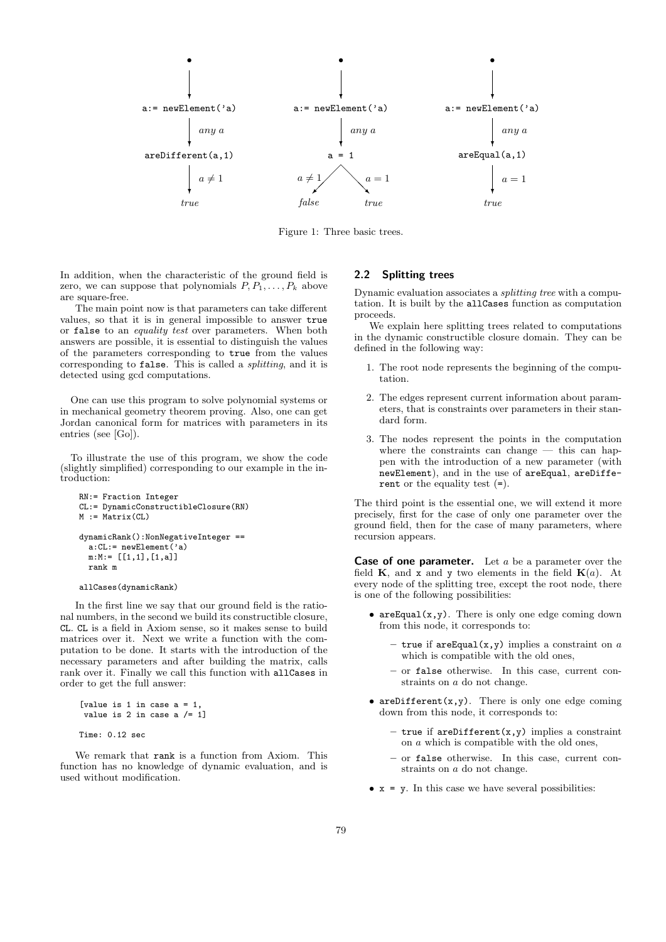

Figure 1: Three basic trees.

In addition, when the characteristic of the ground field is zero, we can suppose that polynomials  $P, P_1, \ldots, P_k$  above are square-free.

The main point now is that parameters can take different values, so that it is in general impossible to answer true or false to an equality test over parameters. When both answers are possible, it is essential to distinguish the values of the parameters corresponding to true from the values corresponding to false. This is called a *splitting*, and it is detected using gcd computations.

One can use this program to solve polynomial systems or in mechanical geometry theorem proving. Also, one can get Jordan canonical form for matrices with parameters in its entries (see [Go]).

To illustrate the use of this program, we show the code (slightly simplified) corresponding to our example in the introduction:

```
RN:= Fraction Integer
CL:= DynamicConstructibleClosure(RN)
M := Matrix(CL)dynamicRank():NonNegativeInteger ==
 a:CL:= newElement('a)
 m:M:= [[1,1],[1,a]]
 rank m
```
allCases(dynamicRank)

In the first line we say that our ground field is the rational numbers, in the second we build its constructible closure, CL. CL is a field in Axiom sense, so it makes sense to build matrices over it. Next we write a function with the computation to be done. It starts with the introduction of the necessary parameters and after building the matrix, calls rank over it. Finally we call this function with allCases in order to get the full answer:

```
[value is 1 in case a = 1,value is 2 in case a /= 1]
Time: 0.12 sec
```
We remark that rank is a function from Axiom. This function has no knowledge of dynamic evaluation, and is used without modification.

## 2.2 Splitting trees

Dynamic evaluation associates a splitting tree with a computation. It is built by the allCases function as computation proceeds.

We explain here splitting trees related to computations in the dynamic constructible closure domain. They can be defined in the following way:

- 1. The root node represents the beginning of the computation.
- 2. The edges represent current information about parameters, that is constraints over parameters in their standard form.
- 3. The nodes represent the points in the computation where the constraints can change — this can happen with the introduction of a new parameter (with newElement), and in the use of areEqual, areDifferent or the equality test (=).

The third point is the essential one, we will extend it more precisely, first for the case of only one parameter over the ground field, then for the case of many parameters, where recursion appears.

**Case of one parameter.** Let  $a$  be a parameter over the field **K**, and **x** and **y** two elements in the field **K** $(a)$ . At every node of the splitting tree, except the root node, there is one of the following possibilities:

- $areEqual(x, y)$ . There is only one edge coming down from this node, it corresponds to:
	- true if are Equal $(x,y)$  implies a constraint on a which is compatible with the old ones,
	- or false otherwise. In this case, current constraints on a do not change.
- are Different $(x,y)$ . There is only one edge coming down from this node, it corresponds to:
	- $-$  true if are Different  $(x,y)$  implies a constraint on a which is compatible with the old ones,
	- or false otherwise. In this case, current constraints on a do not change.
- $\bullet$   $x = y$ . In this case we have several possibilities: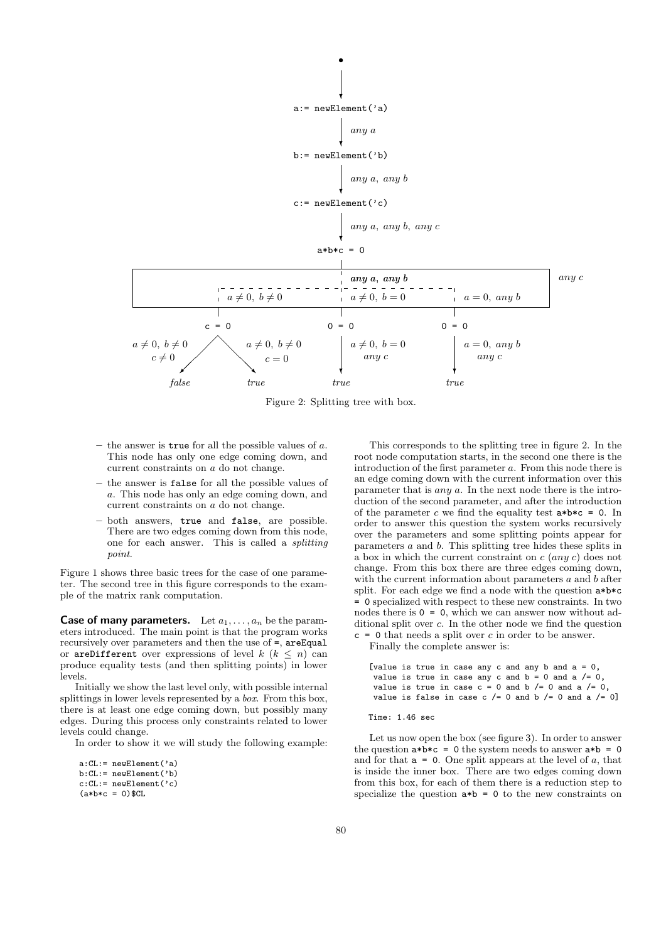

Figure 2: Splitting tree with box.

- the answer is true for all the possible values of  $a$ . This node has only one edge coming down, and current constraints on a do not change.
- the answer is false for all the possible values of a. This node has only an edge coming down, and current constraints on a do not change.
- both answers, true and false, are possible. There are two edges coming down from this node, one for each answer. This is called a splitting point.

Figure 1 shows three basic trees for the case of one parameter. The second tree in this figure corresponds to the example of the matrix rank computation.

**Case of many parameters.** Let  $a_1, \ldots, a_n$  be the parameters introduced. The main point is that the program works recursively over parameters and then the use of =, areEqual or are Different over expressions of level  $k$   $(k \leq n)$  can produce equality tests (and then splitting points) in lower levels.

Initially we show the last level only, with possible internal splittings in lower levels represented by a box. From this box, there is at least one edge coming down, but possibly many edges. During this process only constraints related to lower levels could change.

In order to show it we will study the following example:

```
a:CL:= newElement('a)
b:CL:= newElement('b)
c:CL:= newElement('c)
(a * b * c = 0) $CL
```
This corresponds to the splitting tree in figure 2. In the root node computation starts, in the second one there is the introduction of the first parameter a. From this node there is an edge coming down with the current information over this parameter that is any a. In the next node there is the introduction of the second parameter, and after the introduction of the parameter c we find the equality test  $a * b * c = 0$ . In order to answer this question the system works recursively over the parameters and some splitting points appear for parameters a and b. This splitting tree hides these splits in a box in which the current constraint on c (any c) does not change. From this box there are three edges coming down, with the current information about parameters  $a$  and  $b$  after split. For each edge we find a node with the question a\*b\*c = 0 specialized with respect to these new constraints. In two nodes there is 0 = 0, which we can answer now without additional split over c. In the other node we find the question  $c = 0$  that needs a split over c in order to be answer.

Finally the complete answer is:

```
[value is true in case any c and any b and a = 0.]
value is true in case any c and b = 0 and a /= 0,
value is true in case c = 0 and b /= 0 and a /= 0,
value is false in case c /= 0 and b /= 0 and a /= 0]
```
Time: 1.46 sec

Let us now open the box (see figure 3). In order to answer the question  $a*b*c = 0$  the system needs to answer  $a*b = 0$ and for that  $a = 0$ . One split appears at the level of a, that is inside the inner box. There are two edges coming down from this box, for each of them there is a reduction step to specialize the question  $a * b = 0$  to the new constraints on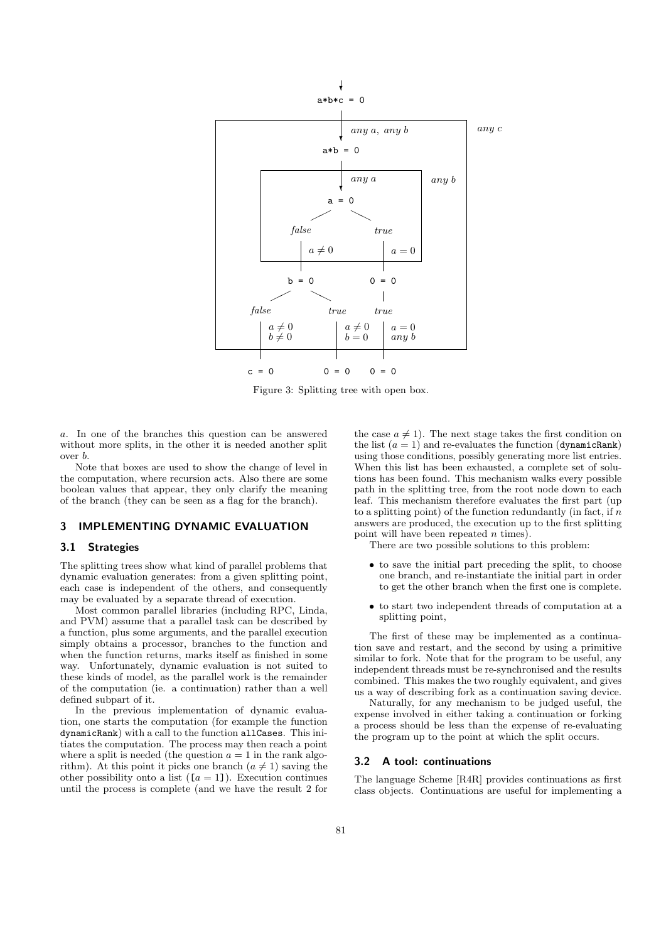

Figure 3: Splitting tree with open box.

a. In one of the branches this question can be answered without more splits, in the other it is needed another split over b.

Note that boxes are used to show the change of level in the computation, where recursion acts. Also there are some boolean values that appear, they only clarify the meaning of the branch (they can be seen as a flag for the branch).

## 3 IMPLEMENTING DYNAMIC EVALUATION

### 3.1 Strategies

The splitting trees show what kind of parallel problems that dynamic evaluation generates: from a given splitting point, each case is independent of the others, and consequently may be evaluated by a separate thread of execution.

Most common parallel libraries (including RPC, Linda, and PVM) assume that a parallel task can be described by a function, plus some arguments, and the parallel execution simply obtains a processor, branches to the function and when the function returns, marks itself as finished in some way. Unfortunately, dynamic evaluation is not suited to these kinds of model, as the parallel work is the remainder of the computation (ie. a continuation) rather than a well defined subpart of it.

In the previous implementation of dynamic evaluation, one starts the computation (for example the function dynamicRank) with a call to the function allCases. This initiates the computation. The process may then reach a point where a split is needed (the question  $a = 1$  in the rank algorithm). At this point it picks one branch  $(a \neq 1)$  saving the other possibility onto a list  $(Ia = 1])$ . Execution continues until the process is complete (and we have the result 2 for

the case  $a \neq 1$ ). The next stage takes the first condition on the list  $(a = 1)$  and re-evaluates the function (dynamicRank) using those conditions, possibly generating more list entries. When this list has been exhausted, a complete set of solutions has been found. This mechanism walks every possible path in the splitting tree, from the root node down to each leaf. This mechanism therefore evaluates the first part (up to a splitting point) of the function redundantly (in fact, if  $n$ answers are produced, the execution up to the first splitting point will have been repeated  $n$  times).

There are two possible solutions to this problem:

- to save the initial part preceding the split, to choose one branch, and re-instantiate the initial part in order to get the other branch when the first one is complete.
- to start two independent threads of computation at a splitting point,

The first of these may be implemented as a continuation save and restart, and the second by using a primitive similar to fork. Note that for the program to be useful, any independent threads must be re-synchronised and the results combined. This makes the two roughly equivalent, and gives us a way of describing fork as a continuation saving device.

Naturally, for any mechanism to be judged useful, the expense involved in either taking a continuation or forking a process should be less than the expense of re-evaluating the program up to the point at which the split occurs.

### 3.2 A tool: continuations

The language Scheme [R4R] provides continuations as first class objects. Continuations are useful for implementing a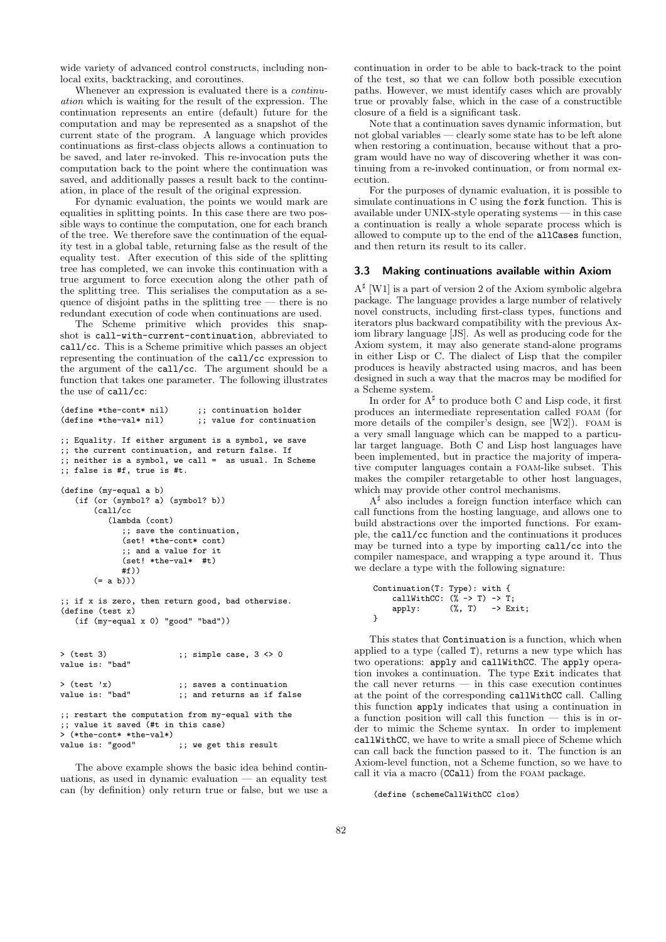wide variety of advanced control constructs, including nonlocal exits, backtracking, and coroutines.

Whenever an expression is evaluated there is a *continu*ation which is waiting for the result of the expression. The continuation represents an entire (default) future for the computation and may be represented as a snapshot of the current state of the program. A language which provides continuations as first-class objects allows a continuation to be saved, and later re-invoked. This re-invocation puts the computation back to the point where the continuation was saved, and additionally passes a result back to the continuation, in place of the result of the original expression.

For dynamic evaluation, the points we would mark are equalities in splitting points. In this case there are two possible ways to continue the computation, one for each branch of the tree. We therefore save the continuation of the equality test in a global table, returning false as the result of the equality test. After execution of this side of the splitting tree has completed, we can invoke this continuation with a true argument to force execution along the other path of the splitting tree. This serialises the computation as a sequence of disjoint paths in the splitting tree — there is no redundant execution of code when continuations are used.

The Scheme primitive which provides this snapshot is call-with-current-continuation, abbreviated to call/cc. This is a Scheme primitive which passes an object representing the continuation of the call/cc expression to the argument of the call/cc. The argument should be a function that takes one parameter. The following illustrates the use of call/cc:

```
(define *the-cont* nil) ;; continuation holder<br>(define *the-val* nil) ;; value for continuat
                                \vdots; value for continuation
;; Equality. If either argument is a symbol, we save
;; the current continuation, and return false. If
;; neither is a symbol, we call = as usual. In Scheme
;; false is #f, true is #t.
(define (my-equal a b)
   (if (or (symbol? a) (symbol? b))
       (call/cc
           (lambda (cont)
              ;; save the continuation,
              (set! *the-cont* cont)
              ;; and a value for it
              (set! *the-val* #t)
              #f))
       (= a b)))
;; if x is zero, then return good, bad otherwise.
(define (test x)
   (if (my-equal x 0) "good" "bad"))
> (test 3) ;; simple case, 3 <> 0
value is: "bad"
> (test 'x) ;; saves a continuation<br>value is: "bad" ;; and returns as if fa
                           \vdots and returns as if false
;; restart the computation from my-equal with the
;; value it saved (#t in this case)
```
> (\*the-cont\* \*the-val\*)<br>value is: "good" :: we get this result

The above example shows the basic idea behind continuations, as used in dynamic evaluation  $-$  an equality test can (by definition) only return true or false, but we use a

continuation in order to be able to back-track to the point of the test, so that we can follow both possible execution paths. However, we must identify cases which are provably true or provably false, which in the case of a constructible closure of a field is a significant task.

Note that a continuation saves dynamic information, but not global variables — clearly some state has to be left alone when restoring a continuation, because without that a program would have no way of discovering whether it was continuing from a re-invoked continuation, or from normal execution.

For the purposes of dynamic evaluation, it is possible to simulate continuations in C using the fork function. This is available under UNIX-style operating systems — in this case a continuation is really a whole separate process which is allowed to compute up to the end of the allCases function, and then return its result to its caller.

## 3.3 Making continuations available within Axiom

 $A^{\sharp}$  [W1] is a part of version 2 of the Axiom symbolic algebra package. The language provides a large number of relatively novel constructs, including first-class types, functions and iterators plus backward compatibility with the previous Axiom library language [JS]. As well as producing code for the Axiom system, it may also generate stand-alone programs in either Lisp or C. The dialect of Lisp that the compiler produces is heavily abstracted using macros, and has been designed in such a way that the macros may be modified for a Scheme system.

In order for  $A^{\sharp}$  to produce both C and Lisp code, it first produces an intermediate representation called foam (for more details of the compiler's design, see [W2]). FOAM is a very small language which can be mapped to a particular target language. Both C and Lisp host languages have been implemented, but in practice the majority of imperative computer languages contain a foam-like subset. This makes the compiler retargetable to other host languages, which may provide other control mechanisms.

 $A^{\sharp}$  also includes a foreign function interface which can call functions from the hosting language, and allows one to build abstractions over the imported functions. For example, the call/cc function and the continuations it produces may be turned into a type by importing call/cc into the compiler namespace, and wrapping a type around it. Thus we declare a type with the following signature:

```
Continuation(T: Type): with {
     callWithCC: (\% \rightarrow T) \rightarrow T;apply: (\%, T) \rightarrow \text{Exit};}
```
This states that Continuation is a function, which when applied to a type (called T), returns a new type which has two operations: apply and callWithCC. The apply operation invokes a continuation. The type Exit indicates that the call never returns — in this case execution continues at the point of the corresponding callWithCC call. Calling this function apply indicates that using a continuation in a function position will call this function — this is in order to mimic the Scheme syntax. In order to implement callWithCC, we have to write a small piece of Scheme which can call back the function passed to it. The function is an Axiom-level function, not a Scheme function, so we have to call it via a macro (CCall) from the foam package.

(define (schemeCallWithCC clos)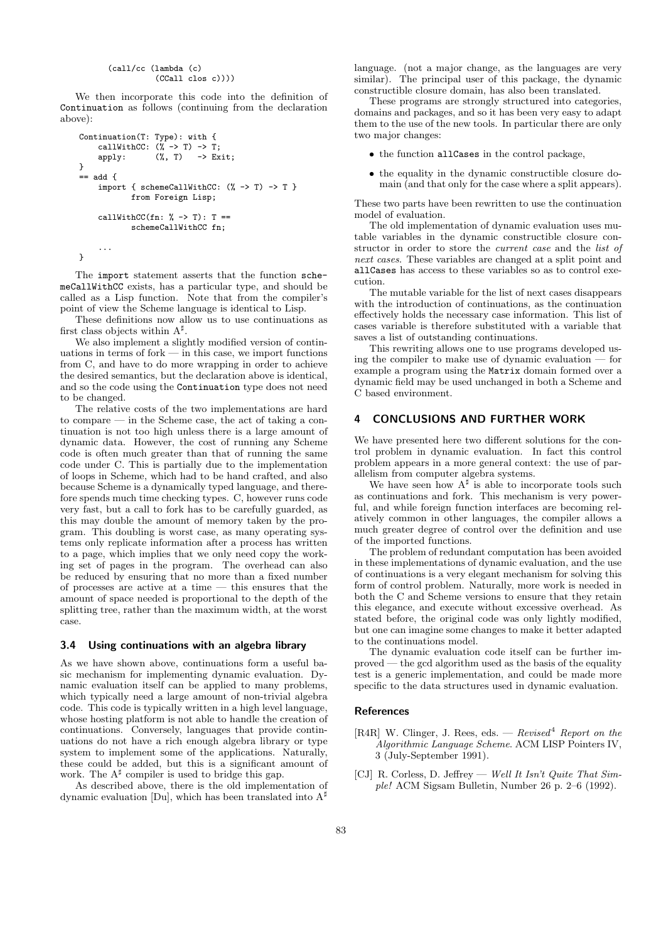```
(call/cc (lambda (c)
          (CCall clos c))))
```
We then incorporate this code into the definition of Continuation as follows (continuing from the declaration above):

```
Continuation(T: Type): with {
    callWithCC: (\% \rightarrow T) \rightarrow T;apply: (%, T) -> Exit;
}
= add \inimport { schemeCallWithCC: (% -> T) -> T }
            from Foreign Lisp;
    callWithCC(fn: % \rightarrow T): T ==
            schemeCallWithCC fn;
```
}

...

The import statement asserts that the function schemeCallWithCC exists, has a particular type, and should be called as a Lisp function. Note that from the compiler's point of view the Scheme language is identical to Lisp.

These definitions now allow us to use continuations as first class objects within  $A^{\sharp}$ .

We also implement a slightly modified version of continuations in terms of for $k$  — in this case, we import functions from C, and have to do more wrapping in order to achieve the desired semantics, but the declaration above is identical, and so the code using the Continuation type does not need to be changed.

The relative costs of the two implementations are hard to compare — in the Scheme case, the act of taking a continuation is not too high unless there is a large amount of dynamic data. However, the cost of running any Scheme code is often much greater than that of running the same code under C. This is partially due to the implementation of loops in Scheme, which had to be hand crafted, and also because Scheme is a dynamically typed language, and therefore spends much time checking types. C, however runs code very fast, but a call to fork has to be carefully guarded, as this may double the amount of memory taken by the program. This doubling is worst case, as many operating systems only replicate information after a process has written to a page, which implies that we only need copy the working set of pages in the program. The overhead can also be reduced by ensuring that no more than a fixed number of processes are active at a time — this ensures that the amount of space needed is proportional to the depth of the splitting tree, rather than the maximum width, at the worst case.

#### 3.4 Using continuations with an algebra library

As we have shown above, continuations form a useful basic mechanism for implementing dynamic evaluation. Dynamic evaluation itself can be applied to many problems, which typically need a large amount of non-trivial algebra code. This code is typically written in a high level language, whose hosting platform is not able to handle the creation of continuations. Conversely, languages that provide continuations do not have a rich enough algebra library or type system to implement some of the applications. Naturally, these could be added, but this is a significant amount of work. The  $A^{\sharp}$  compiler is used to bridge this gap.

As described above, there is the old implementation of dynamic evaluation [Du], which has been translated into  $A^{\sharp}$ 

language. (not a major change, as the languages are very similar). The principal user of this package, the dynamic constructible closure domain, has also been translated.

These programs are strongly structured into categories, domains and packages, and so it has been very easy to adapt them to the use of the new tools. In particular there are only two major changes:

- the function allCases in the control package,
- the equality in the dynamic constructible closure domain (and that only for the case where a split appears).

These two parts have been rewritten to use the continuation model of evaluation.

The old implementation of dynamic evaluation uses mutable variables in the dynamic constructible closure constructor in order to store the current case and the list of next cases. These variables are changed at a split point and allCases has access to these variables so as to control execution.

The mutable variable for the list of next cases disappears with the introduction of continuations, as the continuation effectively holds the necessary case information. This list of cases variable is therefore substituted with a variable that saves a list of outstanding continuations.

This rewriting allows one to use programs developed using the compiler to make use of dynamic evaluation — for example a program using the Matrix domain formed over a dynamic field may be used unchanged in both a Scheme and C based environment.

## 4 CONCLUSIONS AND FURTHER WORK

We have presented here two different solutions for the control problem in dynamic evaluation. In fact this control problem appears in a more general context: the use of parallelism from computer algebra systems.

We have seen how  $A^{\sharp}$  is able to incorporate tools such as continuations and fork. This mechanism is very powerful, and while foreign function interfaces are becoming relatively common in other languages, the compiler allows a much greater degree of control over the definition and use of the imported functions.

The problem of redundant computation has been avoided in these implementations of dynamic evaluation, and the use of continuations is a very elegant mechanism for solving this form of control problem. Naturally, more work is needed in both the C and Scheme versions to ensure that they retain this elegance, and execute without excessive overhead. As stated before, the original code was only lightly modified, but one can imagine some changes to make it better adapted to the continuations model.

The dynamic evaluation code itself can be further improved — the gcd algorithm used as the basis of the equality test is a generic implementation, and could be made more specific to the data structures used in dynamic evaluation.

#### References

- [R4R] W. Clinger, J. Rees, eds.  $Revised^4$  Report on the Algorithmic Language Scheme. ACM LISP Pointers IV, 3 (July-September 1991).
- [CJ] R. Corless, D. Jeffrey Well It Isn't Quite That Simple! ACM Sigsam Bulletin, Number 26 p. 2–6 (1992).